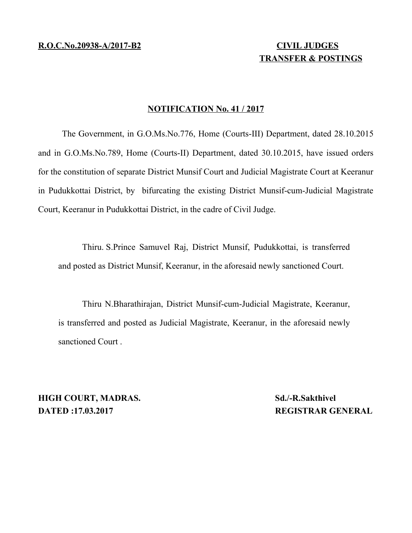## **TRANSFER & POSTINGS**

## **NOTIFICATION No. 41 / 2017**

The Government, in G.O.Ms.No.776, Home (Courts-III) Department, dated 28.10.2015 and in G.O.Ms.No.789, Home (Courts-II) Department, dated 30.10.2015, have issued orders for the constitution of separate District Munsif Court and Judicial Magistrate Court at Keeranur in Pudukkottai District, by bifurcating the existing District Munsif-cum-Judicial Magistrate Court, Keeranur in Pudukkottai District, in the cadre of Civil Judge.

Thiru. S.Prince Samuvel Raj, District Munsif, Pudukkottai, is transferred and posted as District Munsif, Keeranur, in the aforesaid newly sanctioned Court.

Thiru N.Bharathirajan, District Munsif-cum-Judicial Magistrate, Keeranur, is transferred and posted as Judicial Magistrate, Keeranur, in the aforesaid newly sanctioned Court .

**HIGH COURT, MADRAS.** Sd./-R.Sakthivel **DATED :17.03.2017 REGISTRAR GENERAL**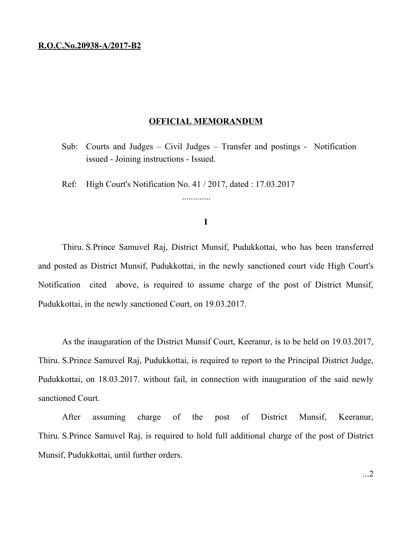## **R.O.C.No.20938-A/2017-B2**

## **OFFICIAL MEMORANDUM**

- Sub: Courts and Judges Civil Judges Transfer and postings Notification issued - Joining instructions - Issued.
- Ref: High Court's Notification No. 41 / 2017, dated : 17.03.2017

**I**

.............

Thiru. S.Prince Samuvel Raj, District Munsif, Pudukkottai, who has been transferred and posted as District Munsif, Pudukkottai, in the newly sanctioned court vide High Court's Notification cited above, is required to assume charge of the post of District Munsif, Pudukkottai, in the newly sanctioned Court, on 19.03.2017.

As the inauguration of the District Munsif Court, Keeranur, is to be held on 19.03.2017, Thiru. S.Prince Samuvel Raj, Pudukkottai, is required to report to the Principal District Judge, Pudukkottai, on 18.03.2017. without fail, in connection with inauguration of the said newly sanctioned Court.

After assuming charge of the post of District Munsif, Keeranur, Thiru. S.Prince Samuvel Raj, is required to hold full additional charge of the post of District Munsif, Pudukkottai, until further orders.